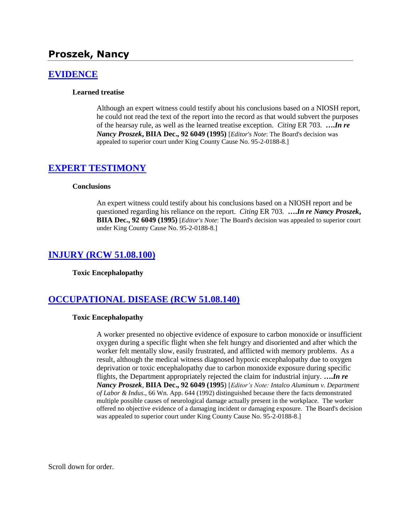# **Proszek, Nancy**

## **[EVIDENCE](http://www.biia.wa.gov/SDSubjectIndex.html#EVIDENCE)**

#### **Learned treatise**

Although an expert witness could testify about his conclusions based on a NIOSH report, he could not read the text of the report into the record as that would subvert the purposes of the hearsay rule, as well as the learned treatise exception. *Citing* ER 703. **….***In re Nancy Proszek***, BIIA Dec., 92 6049 (1995)** [*Editor's Note*: The Board's decision was appealed to superior court under King County Cause No. 95-2-0188-8.]

### **[EXPERT TESTIMONY](http://www.biia.wa.gov/SDSubjectIndex.html#EXPERT_TESTIMONY)**

#### **Conclusions**

An expert witness could testify about his conclusions based on a NIOSH report and be questioned regarding his reliance on the report. *Citing* ER 703. **….***In re Nancy Proszek***, BIIA Dec., 92 6049 (1995)** [*Editor's Note*: The Board's decision was appealed to superior court under King County Cause No. 95-2-0188-8.]

### **[INJURY \(RCW 51.08.100\)](http://www.biia.wa.gov/SDSubjectIndex.html#INJURY)**

#### **Toxic Encephalopathy**

### **[OCCUPATIONAL DISEASE \(RCW 51.08.140\)](http://www.biia.wa.gov/SDSubjectIndex.html#OCCUPATIONAL_DISEASE)**

#### **Toxic Encephalopathy**

A worker presented no objective evidence of exposure to carbon monoxide or insufficient oxygen during a specific flight when she felt hungry and disoriented and after which the worker felt mentally slow, easily frustrated, and afflicted with memory problems. As a result, although the medical witness diagnosed hypoxic encephalopathy due to oxygen deprivation or toxic encephalopathy due to carbon monoxide exposure during specific flights, the Department appropriately rejected the claim for industrial injury. **….***In re Nancy Proszek*, **BIIA Dec., 92 6049 (1995**) [*Editor's Note: Intalco Aluminum v. Department of Labor & Indus*., 66 Wn. App. 644 (1992) distinguished because there the facts demonstrated multiple possible causes of neurological damage actually present in the workplace. The worker offered no objective evidence of a damaging incident or damaging exposure. The Board's decision was appealed to superior court under King County Cause No. 95-2-0188-8.]

Scroll down for order.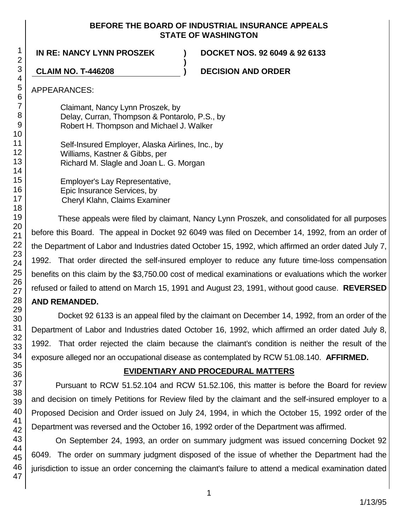## **BEFORE THE BOARD OF INDUSTRIAL INSURANCE APPEALS STATE OF WASHINGTON**

**)**

**IN RE: NANCY LYNN PROSZEK ) DOCKET NOS. 92 6049 & 92 6133**

**CLAIM NO. T-446208 ) DECISION AND ORDER**

## APPEARANCES:

Claimant, Nancy Lynn Proszek, by Delay, Curran, Thompson & Pontarolo, P.S., by Robert H. Thompson and Michael J. Walker

Self-Insured Employer, Alaska Airlines, Inc., by Williams, Kastner & Gibbs, per Richard M. Slagle and Joan L. G. Morgan

Employer's Lay Representative, Epic Insurance Services, by Cheryl Klahn, Claims Examiner

These appeals were filed by claimant, Nancy Lynn Proszek, and consolidated for all purposes before this Board. The appeal in Docket 92 6049 was filed on December 14, 1992, from an order of the Department of Labor and Industries dated October 15, 1992, which affirmed an order dated July 7, 1992. That order directed the self-insured employer to reduce any future time-loss compensation benefits on this claim by the \$3,750.00 cost of medical examinations or evaluations which the worker refused or failed to attend on March 15, 1991 and August 23, 1991, without good cause. **REVERSED** 

# **AND REMANDED.**

Docket 92 6133 is an appeal filed by the claimant on December 14, 1992, from an order of the Department of Labor and Industries dated October 16, 1992, which affirmed an order dated July 8, 1992. That order rejected the claim because the claimant's condition is neither the result of the exposure alleged nor an occupational disease as contemplated by RCW 51.08.140. **AFFIRMED.**

# **EVIDENTIARY AND PROCEDURAL MATTERS**

Pursuant to RCW 51.52.104 and RCW 51.52.106, this matter is before the Board for review and decision on timely Petitions for Review filed by the claimant and the self-insured employer to a Proposed Decision and Order issued on July 24, 1994, in which the October 15, 1992 order of the Department was reversed and the October 16, 1992 order of the Department was affirmed.

On September 24, 1993, an order on summary judgment was issued concerning Docket 92 6049. The order on summary judgment disposed of the issue of whether the Department had the jurisdiction to issue an order concerning the claimant's failure to attend a medical examination dated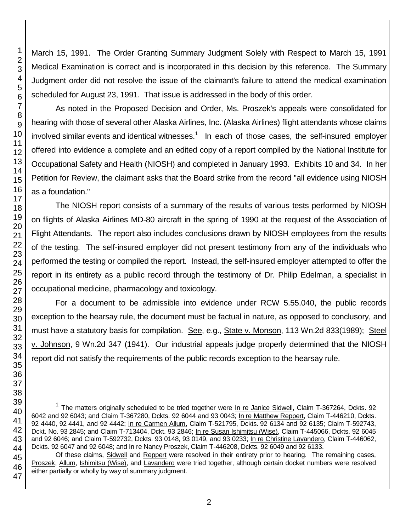March 15, 1991. The Order Granting Summary Judgment Solely with Respect to March 15, 1991 Medical Examination is correct and is incorporated in this decision by this reference. The Summary Judgment order did not resolve the issue of the claimant's failure to attend the medical examination scheduled for August 23, 1991. That issue is addressed in the body of this order.

As noted in the Proposed Decision and Order, Ms. Proszek's appeals were consolidated for hearing with those of several other Alaska Airlines, Inc. (Alaska Airlines) flight attendants whose claims involved similar events and identical witnesses.<sup>1</sup> In each of those cases, the self-insured employer offered into evidence a complete and an edited copy of a report compiled by the National Institute for Occupational Safety and Health (NIOSH) and completed in January 1993. Exhibits 10 and 34. In her Petition for Review, the claimant asks that the Board strike from the record "all evidence using NIOSH as a foundation."

The NIOSH report consists of a summary of the results of various tests performed by NIOSH on flights of Alaska Airlines MD-80 aircraft in the spring of 1990 at the request of the Association of Flight Attendants. The report also includes conclusions drawn by NIOSH employees from the results of the testing. The self-insured employer did not present testimony from any of the individuals who performed the testing or compiled the report. Instead, the self-insured employer attempted to offer the report in its entirety as a public record through the testimony of Dr. Philip Edelman, a specialist in occupational medicine, pharmacology and toxicology.

For a document to be admissible into evidence under RCW 5.55.040, the public records exception to the hearsay rule, the document must be factual in nature, as opposed to conclusory, and must have a statutory basis for compilation. See, e.g., State v. Monson, 113 Wn.2d 833(1989); Steel v. Johnson, 9 Wn.2d 347 (1941). Our industrial appeals judge properly determined that the NIOSH report did not satisfy the requirements of the public records exception to the hearsay rule.

l

<sup>&</sup>lt;sup>1</sup> The matters originally scheduled to be tried together were In re Janice Sidwell, Claim T-367264, Dckts. 92 6042 and 92 6043; and Claim T-367280, Dckts. 92 6044 and 93 0043; In re Matthew Reppert, Claim T-446210, Dckts. 92 4440, 92 4441, and 92 4442; In re Carmen Allum, Claim T-521795, Dckts. 92 6134 and 92 6135; Claim T-592743, Dckt. No. 93 2845; and Claim T-713404, Dckt. 93 2846; In re Susan Ishimitsu (Wise), Claim T-445066, Dckts. 92 6045 and 92 6046; and Claim T-592732, Dckts. 93 0148, 93 0149, and 93 0233; In re Christine Lavandero, Claim T-446062, Dckts. 92 6047 and 92 6048; and In re Nancy Proszek, Claim T-446208, Dckts. 92 6049 and 92 6133.

Of these claims, Sidwell and Reppert were resolved in their entirety prior to hearing. The remaining cases, Proszek, Allum, Ishimitsu (Wise), and Lavandero were tried together, although certain docket numbers were resolved either partially or wholly by way of summary judgment.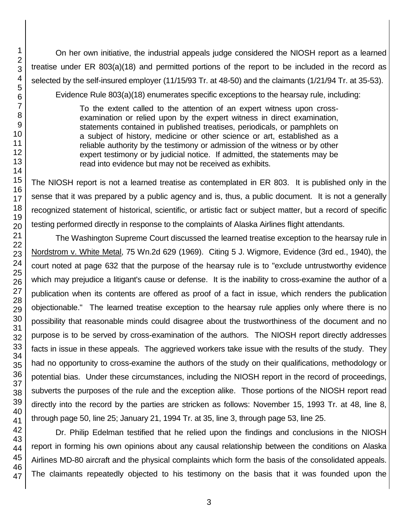On her own initiative, the industrial appeals judge considered the NIOSH report as a learned treatise under ER 803(a)(18) and permitted portions of the report to be included in the record as selected by the self-insured employer (11/15/93 Tr. at 48-50) and the claimants (1/21/94 Tr. at 35-53). Evidence Rule 803(a)(18) enumerates specific exceptions to the hearsay rule, including:

> To the extent called to the attention of an expert witness upon crossexamination or relied upon by the expert witness in direct examination, statements contained in published treatises, periodicals, or pamphlets on a subject of history, medicine or other science or art, established as a reliable authority by the testimony or admission of the witness or by other expert testimony or by judicial notice. If admitted, the statements may be read into evidence but may not be received as exhibits.

The NIOSH report is not a learned treatise as contemplated in ER 803. It is published only in the sense that it was prepared by a public agency and is, thus, a public document. It is not a generally recognized statement of historical, scientific, or artistic fact or subject matter, but a record of specific testing performed directly in response to the complaints of Alaska Airlines flight attendants.

The Washington Supreme Court discussed the learned treatise exception to the hearsay rule in Nordstrom v. White Metal, 75 Wn.2d 629 (1969). Citing 5 J. Wigmore, Evidence (3rd ed., 1940), the court noted at page 632 that the purpose of the hearsay rule is to "exclude untrustworthy evidence which may prejudice a litigant's cause or defense. It is the inability to cross-examine the author of a publication when its contents are offered as proof of a fact in issue, which renders the publication objectionable." The learned treatise exception to the hearsay rule applies only where there is no possibility that reasonable minds could disagree about the trustworthiness of the document and no purpose is to be served by cross-examination of the authors. The NIOSH report directly addresses facts in issue in these appeals. The aggrieved workers take issue with the results of the study. They had no opportunity to cross-examine the authors of the study on their qualifications, methodology or potential bias. Under these circumstances, including the NIOSH report in the record of proceedings, subverts the purposes of the rule and the exception alike. Those portions of the NIOSH report read directly into the record by the parties are stricken as follows: November 15, 1993 Tr. at 48, line 8, through page 50, line 25; January 21, 1994 Tr. at 35, line 3, through page 53, line 25.

Dr. Philip Edelman testified that he relied upon the findings and conclusions in the NIOSH report in forming his own opinions about any causal relationship between the conditions on Alaska Airlines MD-80 aircraft and the physical complaints which form the basis of the consolidated appeals. The claimants repeatedly objected to his testimony on the basis that it was founded upon the

1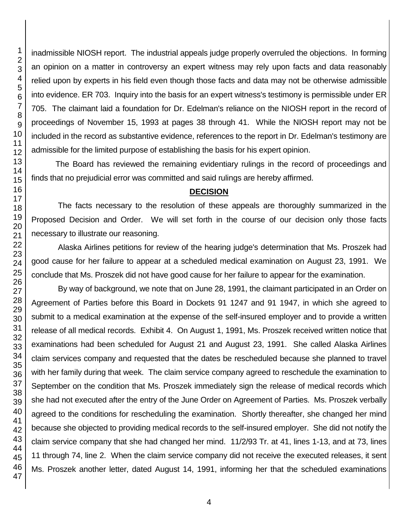inadmissible NIOSH report. The industrial appeals judge properly overruled the objections. In forming an opinion on a matter in controversy an expert witness may rely upon facts and data reasonably relied upon by experts in his field even though those facts and data may not be otherwise admissible into evidence. ER 703. Inquiry into the basis for an expert witness's testimony is permissible under ER 705. The claimant laid a foundation for Dr. Edelman's reliance on the NIOSH report in the record of proceedings of November 15, 1993 at pages 38 through 41. While the NIOSH report may not be included in the record as substantive evidence, references to the report in Dr. Edelman's testimony are admissible for the limited purpose of establishing the basis for his expert opinion.

The Board has reviewed the remaining evidentiary rulings in the record of proceedings and finds that no prejudicial error was committed and said rulings are hereby affirmed.

#### **DECISION**

The facts necessary to the resolution of these appeals are thoroughly summarized in the Proposed Decision and Order. We will set forth in the course of our decision only those facts necessary to illustrate our reasoning.

Alaska Airlines petitions for review of the hearing judge's determination that Ms. Proszek had good cause for her failure to appear at a scheduled medical examination on August 23, 1991. We conclude that Ms. Proszek did not have good cause for her failure to appear for the examination.

By way of background, we note that on June 28, 1991, the claimant participated in an Order on Agreement of Parties before this Board in Dockets 91 1247 and 91 1947, in which she agreed to submit to a medical examination at the expense of the self-insured employer and to provide a written release of all medical records. Exhibit 4. On August 1, 1991, Ms. Proszek received written notice that examinations had been scheduled for August 21 and August 23, 1991. She called Alaska Airlines claim services company and requested that the dates be rescheduled because she planned to travel with her family during that week. The claim service company agreed to reschedule the examination to September on the condition that Ms. Proszek immediately sign the release of medical records which she had not executed after the entry of the June Order on Agreement of Parties. Ms. Proszek verbally agreed to the conditions for rescheduling the examination. Shortly thereafter, she changed her mind because she objected to providing medical records to the self-insured employer. She did not notify the claim service company that she had changed her mind. 11/2/93 Tr. at 41, lines 1-13, and at 73, lines through 74, line 2. When the claim service company did not receive the executed releases, it sent Ms. Proszek another letter, dated August 14, 1991, informing her that the scheduled examinations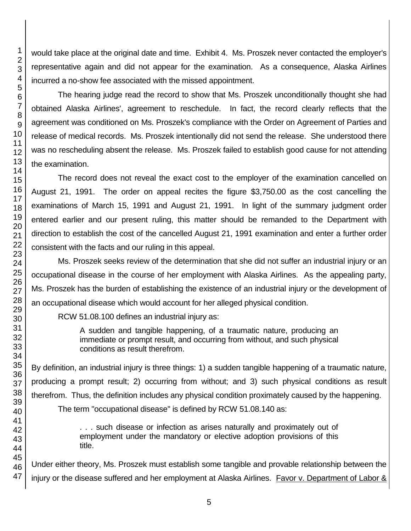would take place at the original date and time. Exhibit 4. Ms. Proszek never contacted the employer's representative again and did not appear for the examination. As a consequence, Alaska Airlines incurred a no-show fee associated with the missed appointment.

The hearing judge read the record to show that Ms. Proszek unconditionally thought she had obtained Alaska Airlines', agreement to reschedule. In fact, the record clearly reflects that the agreement was conditioned on Ms. Proszek's compliance with the Order on Agreement of Parties and release of medical records. Ms. Proszek intentionally did not send the release. She understood there was no rescheduling absent the release. Ms. Proszek failed to establish good cause for not attending the examination.

The record does not reveal the exact cost to the employer of the examination cancelled on August 21, 1991. The order on appeal recites the figure \$3,750.00 as the cost cancelling the examinations of March 15, 1991 and August 21, 1991. In light of the summary judgment order entered earlier and our present ruling, this matter should be remanded to the Department with direction to establish the cost of the cancelled August 21, 1991 examination and enter a further order consistent with the facts and our ruling in this appeal.

Ms. Proszek seeks review of the determination that she did not suffer an industrial injury or an occupational disease in the course of her employment with Alaska Airlines. As the appealing party, Ms. Proszek has the burden of establishing the existence of an industrial injury or the development of an occupational disease which would account for her alleged physical condition.

RCW 51.08.100 defines an industrial injury as:

A sudden and tangible happening, of a traumatic nature, producing an immediate or prompt result, and occurring from without, and such physical conditions as result therefrom.

By definition, an industrial injury is three things: 1) a sudden tangible happening of a traumatic nature, producing a prompt result; 2) occurring from without; and 3) such physical conditions as result therefrom. Thus, the definition includes any physical condition proximately caused by the happening. The term "occupational disease" is defined by RCW 51.08.140 as:

> . . . such disease or infection as arises naturally and proximately out of employment under the mandatory or elective adoption provisions of this title.

Under either theory, Ms. Proszek must establish some tangible and provable relationship between the injury or the disease suffered and her employment at Alaska Airlines. Favor v. Department of Labor &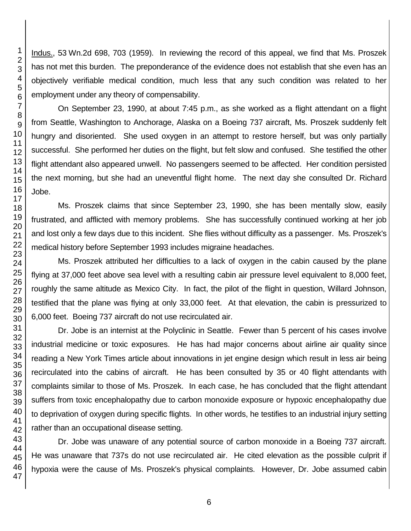Indus., 53 Wn.2d 698, 703 (1959). In reviewing the record of this appeal, we find that Ms. Proszek has not met this burden. The preponderance of the evidence does not establish that she even has an objectively verifiable medical condition, much less that any such condition was related to her employment under any theory of compensability.

On September 23, 1990, at about 7:45 p.m., as she worked as a flight attendant on a flight from Seattle, Washington to Anchorage, Alaska on a Boeing 737 aircraft, Ms. Proszek suddenly felt hungry and disoriented. She used oxygen in an attempt to restore herself, but was only partially successful. She performed her duties on the flight, but felt slow and confused. She testified the other flight attendant also appeared unwell. No passengers seemed to be affected. Her condition persisted the next morning, but she had an uneventful flight home. The next day she consulted Dr. Richard Jobe.

Ms. Proszek claims that since September 23, 1990, she has been mentally slow, easily frustrated, and afflicted with memory problems. She has successfully continued working at her job and lost only a few days due to this incident. She flies without difficulty as a passenger. Ms. Proszek's medical history before September 1993 includes migraine headaches.

Ms. Proszek attributed her difficulties to a lack of oxygen in the cabin caused by the plane flying at 37,000 feet above sea level with a resulting cabin air pressure level equivalent to 8,000 feet, roughly the same altitude as Mexico City. In fact, the pilot of the flight in question, Willard Johnson, testified that the plane was flying at only 33,000 feet. At that elevation, the cabin is pressurized to 6,000 feet. Boeing 737 aircraft do not use recirculated air.

Dr. Jobe is an internist at the Polyclinic in Seattle. Fewer than 5 percent of his cases involve industrial medicine or toxic exposures. He has had major concerns about airline air quality since reading a New York Times article about innovations in jet engine design which result in less air being recirculated into the cabins of aircraft. He has been consulted by 35 or 40 flight attendants with complaints similar to those of Ms. Proszek. In each case, he has concluded that the flight attendant suffers from toxic encephalopathy due to carbon monoxide exposure or hypoxic encephalopathy due to deprivation of oxygen during specific flights. In other words, he testifies to an industrial injury setting rather than an occupational disease setting.

Dr. Jobe was unaware of any potential source of carbon monoxide in a Boeing 737 aircraft. He was unaware that 737s do not use recirculated air. He cited elevation as the possible culprit if hypoxia were the cause of Ms. Proszek's physical complaints. However, Dr. Jobe assumed cabin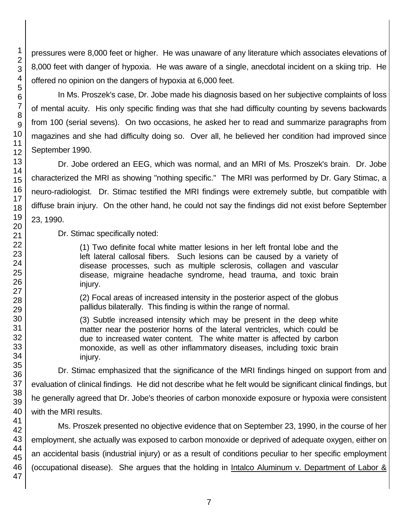pressures were 8,000 feet or higher. He was unaware of any literature which associates elevations of 8,000 feet with danger of hypoxia. He was aware of a single, anecdotal incident on a skiing trip. He offered no opinion on the dangers of hypoxia at 6,000 feet.

In Ms. Proszek's case, Dr. Jobe made his diagnosis based on her subjective complaints of loss of mental acuity. His only specific finding was that she had difficulty counting by sevens backwards from 100 (serial sevens). On two occasions, he asked her to read and summarize paragraphs from magazines and she had difficulty doing so. Over all, he believed her condition had improved since September 1990.

Dr. Jobe ordered an EEG, which was normal, and an MRI of Ms. Proszek's brain. Dr. Jobe characterized the MRI as showing "nothing specific." The MRI was performed by Dr. Gary Stimac, a neuro-radiologist. Dr. Stimac testified the MRI findings were extremely subtle, but compatible with diffuse brain injury. On the other hand, he could not say the findings did not exist before September 23, 1990.

Dr. Stimac specifically noted:

(1) Two definite focal white matter lesions in her left frontal lobe and the left lateral callosal fibers. Such lesions can be caused by a variety of disease processes, such as multiple sclerosis, collagen and vascular disease, migraine headache syndrome, head trauma, and toxic brain injury.

(2) Focal areas of increased intensity in the posterior aspect of the globus pallidus bilaterally. This finding is within the range of normal.

(3) Subtle increased intensity which may be present in the deep white matter near the posterior horns of the lateral ventricles, which could be due to increased water content. The white matter is affected by carbon monoxide, as well as other inflammatory diseases, including toxic brain injury.

Dr. Stimac emphasized that the significance of the MRI findings hinged on support from and evaluation of clinical findings. He did not describe what he felt would be significant clinical findings, but he generally agreed that Dr. Jobe's theories of carbon monoxide exposure or hypoxia were consistent with the MRI results.

Ms. Proszek presented no objective evidence that on September 23, 1990, in the course of her employment, she actually was exposed to carbon monoxide or deprived of adequate oxygen, either on an accidental basis (industrial injury) or as a result of conditions peculiar to her specific employment (occupational disease). She argues that the holding in Intalco Aluminum v. Department of Labor &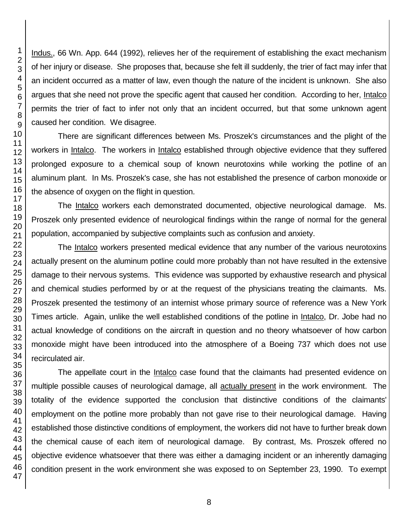Indus., 66 Wn. App. 644 (1992), relieves her of the requirement of establishing the exact mechanism of her injury or disease. She proposes that, because she felt ill suddenly, the trier of fact may infer that an incident occurred as a matter of law, even though the nature of the incident is unknown. She also argues that she need not prove the specific agent that caused her condition. According to her, Intalco permits the trier of fact to infer not only that an incident occurred, but that some unknown agent caused her condition. We disagree.

There are significant differences between Ms. Proszek's circumstances and the plight of the workers in Intalco. The workers in Intalco established through objective evidence that they suffered prolonged exposure to a chemical soup of known neurotoxins while working the potline of an aluminum plant. In Ms. Proszek's case, she has not established the presence of carbon monoxide or the absence of oxygen on the flight in question.

The Intalco workers each demonstrated documented, objective neurological damage. Ms. Proszek only presented evidence of neurological findings within the range of normal for the general population, accompanied by subjective complaints such as confusion and anxiety.

The Intalco workers presented medical evidence that any number of the various neurotoxins actually present on the aluminum potline could more probably than not have resulted in the extensive damage to their nervous systems. This evidence was supported by exhaustive research and physical and chemical studies performed by or at the request of the physicians treating the claimants. Ms. Proszek presented the testimony of an internist whose primary source of reference was a New York Times article. Again, unlike the well established conditions of the potline in Intalco, Dr. Jobe had no actual knowledge of conditions on the aircraft in question and no theory whatsoever of how carbon monoxide might have been introduced into the atmosphere of a Boeing 737 which does not use recirculated air.

The appellate court in the Intalco case found that the claimants had presented evidence on multiple possible causes of neurological damage, all actually present in the work environment. The totality of the evidence supported the conclusion that distinctive conditions of the claimants' employment on the potline more probably than not gave rise to their neurological damage. Having established those distinctive conditions of employment, the workers did not have to further break down the chemical cause of each item of neurological damage. By contrast, Ms. Proszek offered no objective evidence whatsoever that there was either a damaging incident or an inherently damaging condition present in the work environment she was exposed to on September 23, 1990. To exempt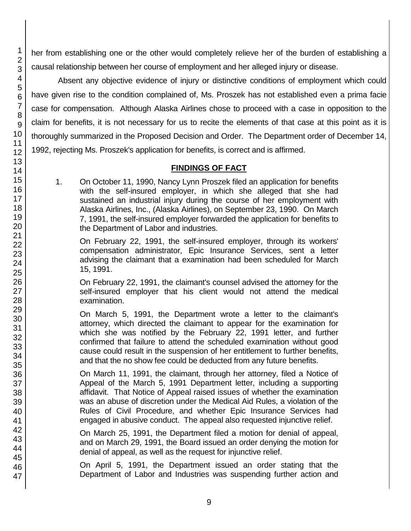her from establishing one or the other would completely relieve her of the burden of establishing a causal relationship between her course of employment and her alleged injury or disease.

Absent any objective evidence of injury or distinctive conditions of employment which could have given rise to the condition complained of, Ms. Proszek has not established even a prima facie case for compensation. Although Alaska Airlines chose to proceed with a case in opposition to the claim for benefits, it is not necessary for us to recite the elements of that case at this point as it is thoroughly summarized in the Proposed Decision and Order. The Department order of December 14, 1992, rejecting Ms. Proszek's application for benefits, is correct and is affirmed.

# **FINDINGS OF FACT**

1. On October 11, 1990, Nancy Lynn Proszek filed an application for benefits with the self-insured employer, in which she alleged that she had sustained an industrial injury during the course of her employment with Alaska Airlines, Inc., (Alaska Airlines), on September 23, 1990. On March 7, 1991, the self-insured employer forwarded the application for benefits to the Department of Labor and industries.

On February 22, 1991, the self-insured employer, through its workers' compensation administrator, Epic Insurance Services, sent a letter advising the claimant that a examination had been scheduled for March 15, 1991.

On February 22, 1991, the claimant's counsel advised the attorney for the self-insured employer that his client would not attend the medical examination.

On March 5, 1991, the Department wrote a letter to the claimant's attorney, which directed the claimant to appear for the examination for which she was notified by the February 22, 1991 letter, and further confirmed that failure to attend the scheduled examination without good cause could result in the suspension of her entitlement to further benefits, and that the no show fee could be deducted from any future benefits.

On March 11, 1991, the claimant, through her attorney, filed a Notice of Appeal of the March 5, 1991 Department letter, including a supporting affidavit. That Notice of Appeal raised issues of whether the examination was an abuse of discretion under the Medical Aid Rules, a violation of the Rules of Civil Procedure, and whether Epic Insurance Services had engaged in abusive conduct. The appeal also requested injunctive relief.

On March 25, 1991, the Department filed a motion for denial of appeal, and on March 29, 1991, the Board issued an order denying the motion for denial of appeal, as well as the request for injunctive relief.

On April 5, 1991, the Department issued an order stating that the Department of Labor and Industries was suspending further action and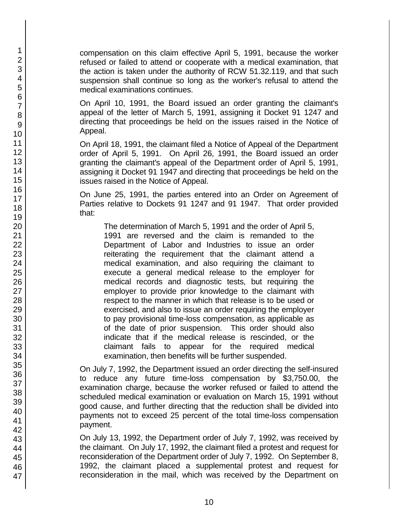compensation on this claim effective April 5, 1991, because the worker refused or failed to attend or cooperate with a medical examination, that the action is taken under the authority of RCW 51.32.119, and that such suspension shall continue so long as the worker's refusal to attend the medical examinations continues.

On April 10, 1991, the Board issued an order granting the claimant's appeal of the letter of March 5, 1991, assigning it Docket 91 1247 and directing that proceedings be held on the issues raised in the Notice of Appeal.

On April 18, 1991, the claimant filed a Notice of Appeal of the Department order of April 5, 1991. On April 26, 1991, the Board issued an order granting the claimant's appeal of the Department order of April 5, 1991, assigning it Docket 91 1947 and directing that proceedings be held on the issues raised in the Notice of Appeal.

On June 25, 1991, the parties entered into an Order on Agreement of Parties relative to Dockets 91 1247 and 91 1947. That order provided that:

The determination of March 5, 1991 and the order of April 5, 1991 are reversed and the claim is remanded to the Department of Labor and Industries to issue an order reiterating the requirement that the claimant attend a medical examination, and also requiring the claimant to execute a general medical release to the employer for medical records and diagnostic tests, but requiring the employer to provide prior knowledge to the claimant with respect to the manner in which that release is to be used or exercised, and also to issue an order requiring the employer to pay provisional time-loss compensation, as applicable as of the date of prior suspension. This order should also indicate that if the medical release is rescinded, or the claimant fails to appear for the required medical examination, then benefits will be further suspended.

On July 7, 1992, the Department issued an order directing the self-insured to reduce any future time-loss compensation by \$3,750.00, the examination charge, because the worker refused or failed to attend the scheduled medical examination or evaluation on March 15, 1991 without good cause, and further directing that the reduction shall be divided into payments not to exceed 25 percent of the total time-loss compensation payment.

On July 13, 1992, the Department order of July 7, 1992, was received by the claimant. On July 17, 1992, the claimant filed a protest and request for reconsideration of the Department order of July 7, 1992. On September 8, 1992, the claimant placed a supplemental protest and request for reconsideration in the mail, which was received by the Department on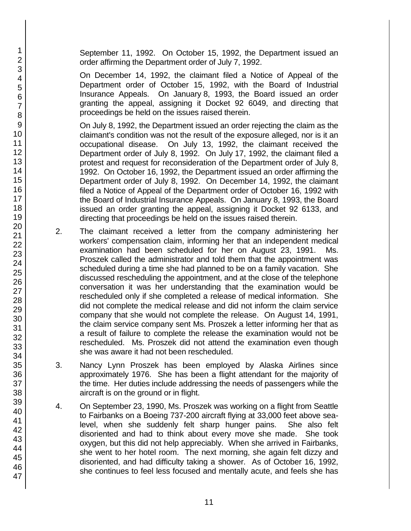September 11, 1992. On October 15, 1992, the Department issued an order affirming the Department order of July 7, 1992.

On December 14, 1992, the claimant filed a Notice of Appeal of the Department order of October 15, 1992, with the Board of Industrial Insurance Appeals. On January 8, 1993, the Board issued an order granting the appeal, assigning it Docket 92 6049, and directing that proceedings be held on the issues raised therein.

On July 8, 1992, the Department issued an order rejecting the claim as the claimant's condition was not the result of the exposure alleged, nor is it an occupational disease. On July 13, 1992, the claimant received the Department order of July 8, 1992. On July 17, 1992, the claimant filed a protest and request for reconsideration of the Department order of July 8, 1992. On October 16, 1992, the Department issued an order affirming the Department order of July 8, 1992. On December 14, 1992, the claimant filed a Notice of Appeal of the Department order of October 16, 1992 with the Board of Industrial Insurance Appeals. On January 8, 1993, the Board issued an order granting the appeal, assigning it Docket 92 6133, and directing that proceedings be held on the issues raised therein.

- 2. The claimant received a letter from the company administering her workers' compensation claim, informing her that an independent medical examination had been scheduled for her on August 23, 1991. Ms. Proszek called the administrator and told them that the appointment was scheduled during a time she had planned to be on a family vacation. She discussed rescheduling the appointment, and at the close of the telephone conversation it was her understanding that the examination would be rescheduled only if she completed a release of medical information. She did not complete the medical release and did not inform the claim service company that she would not complete the release. On August 14, 1991, the claim service company sent Ms. Proszek a letter informing her that as a result of failure to complete the release the examination would not be rescheduled. Ms. Proszek did not attend the examination even though she was aware it had not been rescheduled.
- 3. Nancy Lynn Proszek has been employed by Alaska Airlines since approximately 1976. She has been a flight attendant for the majority of the time. Her duties include addressing the needs of passengers while the aircraft is on the ground or in flight.
- 4. On September 23, 1990, Ms. Proszek was working on a flight from Seattle to Fairbanks on a Boeing 737-200 aircraft flying at 33,000 feet above sealevel, when she suddenly felt sharp hunger pains. She also felt disoriented and had to think about every move she made. She took oxygen, but this did not help appreciably. When she arrived in Fairbanks, she went to her hotel room. The next morning, she again felt dizzy and disoriented, and had difficulty taking a shower. As of October 16, 1992, she continues to feel less focused and mentally acute, and feels she has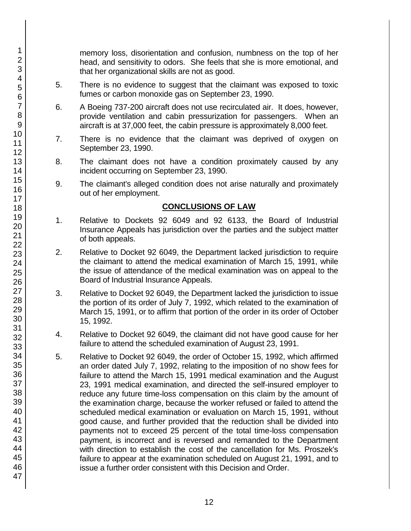memory loss, disorientation and confusion, numbness on the top of her head, and sensitivity to odors. She feels that she is more emotional, and that her organizational skills are not as good.

- 5. There is no evidence to suggest that the claimant was exposed to toxic fumes or carbon monoxide gas on September 23, 1990.
- 6. A Boeing 737-200 aircraft does not use recirculated air. It does, however, provide ventilation and cabin pressurization for passengers. When an aircraft is at 37,000 feet, the cabin pressure is approximately 8,000 feet.
- 7. There is no evidence that the claimant was deprived of oxygen on September 23, 1990.
- 8. The claimant does not have a condition proximately caused by any incident occurring on September 23, 1990.
- 9. The claimant's alleged condition does not arise naturally and proximately out of her employment.

## **CONCLUSIONS OF LAW**

- 1. Relative to Dockets 92 6049 and 92 6133, the Board of Industrial Insurance Appeals has jurisdiction over the parties and the subject matter of both appeals.
- 2. Relative to Docket 92 6049, the Department lacked jurisdiction to require the claimant to attend the medical examination of March 15, 1991, while the issue of attendance of the medical examination was on appeal to the Board of Industrial Insurance Appeals.
- 3. Relative to Docket 92 6049, the Department lacked the jurisdiction to issue the portion of its order of July 7, 1992, which related to the examination of March 15, 1991, or to affirm that portion of the order in its order of October 15, 1992.
- 4. Relative to Docket 92 6049, the claimant did not have good cause for her failure to attend the scheduled examination of August 23, 1991.
- 5. Relative to Docket 92 6049, the order of October 15, 1992, which affirmed an order dated July 7, 1992, relating to the imposition of no show fees for failure to attend the March 15, 1991 medical examination and the August 23, 1991 medical examination, and directed the self-insured employer to reduce any future time-loss compensation on this claim by the amount of the examination charge, because the worker refused or failed to attend the scheduled medical examination or evaluation on March 15, 1991, without good cause, and further provided that the reduction shall be divided into payments not to exceed 25 percent of the total time-loss compensation payment, is incorrect and is reversed and remanded to the Department with direction to establish the cost of the cancellation for Ms. Proszek's failure to appear at the examination scheduled on August 21, 1991, and to issue a further order consistent with this Decision and Order.